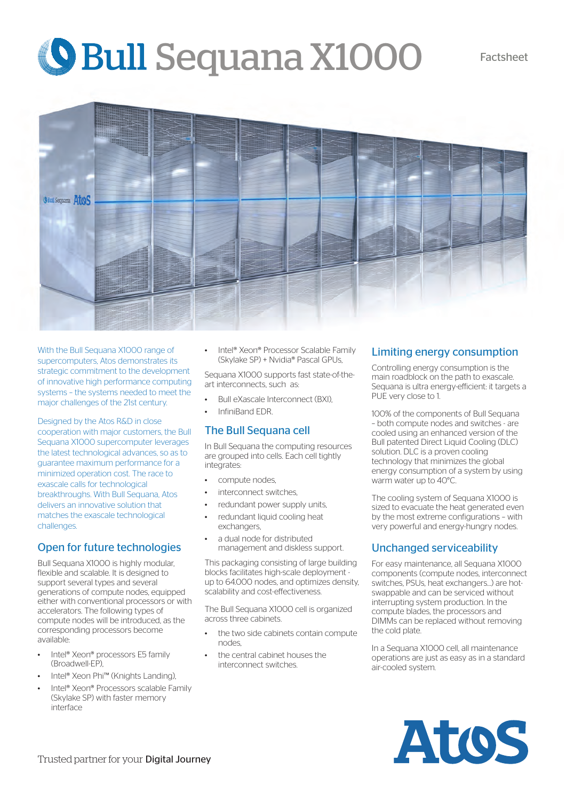# **Shall Sequana X1000** Factsheet



With the Bull Sequana X1000 range of supercomputers, Atos demonstrates its strategic commitment to the development of innovative high performance computing systems – the systems needed to meet the major challenges of the 21st century.

Designed by the Atos R&D in close cooperation with major customers, the Bull Sequana X1000 supercomputer leverages the latest technological advances, so as to guarantee maximum performance for a minimized operation cost. The race to exascale calls for technological breakthroughs. With Bull Sequana, Atos delivers an innovative solution that matches the exascale technological challenges.

### Open for future technologies

Bull Sequana X1000 is highly modular, flexible and scalable. It is designed to support several types and several generations of compute nodes, equipped either with conventional processors or with accelerators. The following types of compute nodes will be introduced, as the corresponding processors become available:

- Intel® Xeon® processors E5 family (Broadwell-EP),
- Intel® Xeon Phi™ (Knights Landing),
- Intel® Xeon® Processors scalable Family (Skylake SP) with faster memory interface

• Intel® Xeon® Processor Scalable Family (Skylake SP) + Nvidia® Pascal GPUs,

Sequana X1000 supports fast state-of-theart interconnects, such as:

- Bull eXascale Interconnect (BXI),
- InfiniBand EDR.

#### The Bull Sequana cell

In Bull Sequana the computing resources are grouped into cells. Each cell tightly integrates:

- compute nodes.
- interconnect switches
- redundant power supply units,
- redundant liquid cooling heat exchangers,
- a dual node for distributed management and diskless support.

This packaging consisting of large building blocks facilitates high-scale deployment up to 64.000 nodes, and optimizes density, scalability and cost-effectiveness.

The Bull Sequana X1000 cell is organized across three cabinets.

- the two side cabinets contain compute nodes,
- the central cabinet houses the interconnect switches.

#### Limiting energy consumption

Controlling energy consumption is the main roadblock on the path to exascale. Sequana is ultra energy-efficient: it targets a PUE very close to 1.

100% of the components of Bull Sequana – both compute nodes and switches - are cooled using an enhanced version of the Bull patented Direct Liquid Cooling (DLC) solution. DLC is a proven cooling technology that minimizes the global energy consumption of a system by using warm water up to 40°C.

The cooling system of Sequana X1000 is sized to evacuate the heat generated even by the most extreme configurations – with very powerful and energy-hungry nodes.

#### Unchanged serviceability

For easy maintenance, all Sequana X1000 components (compute nodes, interconnect switches, PSUs, heat exchangers…) are hotswappable and can be serviced without interrupting system production. In the compute blades, the processors and DIMMs can be replaced without removing the cold plate.

In a Sequana X1000 cell, all maintenance operations are just as easy as in a standard air-cooled system.

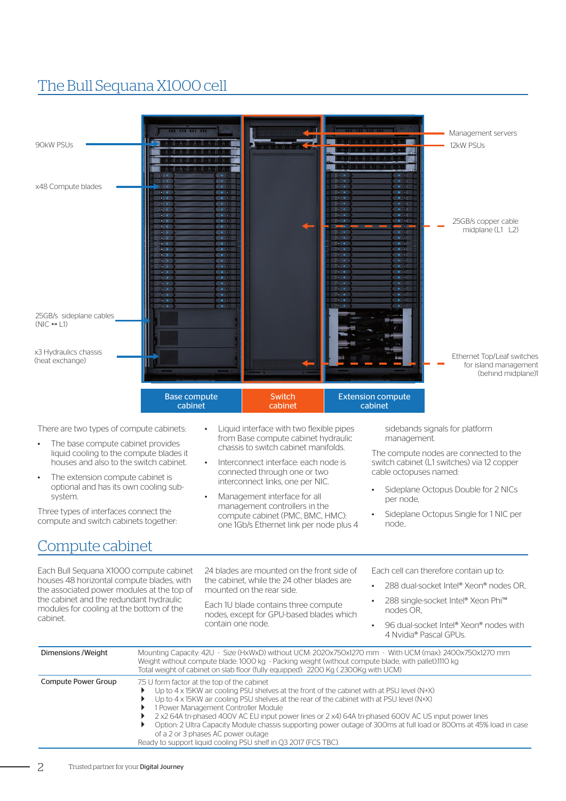## The Bull Sequana X1000 cell

| 111 111 111<br>90kW PSUs<br>x48 Compute blades<br>$\bullet$<br>$\bullet$                                                                                                                                                                                                                                                                                                                                                                                                                                                                                                                                                                       |                                                                                                                                                                                                                                                                                                                                                                                                  | Management servers<br>12kW PSUs                                                                                                                                                                                                                                                                                                                                                                                                                                                                                                                                                                                     |  |  |
|------------------------------------------------------------------------------------------------------------------------------------------------------------------------------------------------------------------------------------------------------------------------------------------------------------------------------------------------------------------------------------------------------------------------------------------------------------------------------------------------------------------------------------------------------------------------------------------------------------------------------------------------|--------------------------------------------------------------------------------------------------------------------------------------------------------------------------------------------------------------------------------------------------------------------------------------------------------------------------------------------------------------------------------------------------|---------------------------------------------------------------------------------------------------------------------------------------------------------------------------------------------------------------------------------------------------------------------------------------------------------------------------------------------------------------------------------------------------------------------------------------------------------------------------------------------------------------------------------------------------------------------------------------------------------------------|--|--|
| $\bullet$<br>$\bullet$<br>$\bullet$<br>$\bullet$<br>$\bullet$<br>$\bullet$<br>$\bullet$<br>$\bullet$<br>$\bullet$<br>$\bullet$<br>$\bullet$<br>$\bullet$<br>$\bullet$<br>$\bullet$<br>$\bullet$<br>$\bullet$<br>$\bullet$<br>$\bullet$<br>$\bullet$<br>$\bullet$<br>25GB/s sideplane cables<br>$(NIC \leftrightarrow L1)$<br>x3 Hydraulics chassis                                                                                                                                                                                                                                                                                             | $\cdots$<br>$\cdots$<br>$\bullet$<br>$\cdots$<br>$\mathbf{B}$<br>$\begin{array}{ccc} \bullet & \bullet & \bullet \end{array}$                                                                                                                                                                                                                                                                    | $\bullet$<br>$-$<br>$\sim$<br>$\bullet$ $\bullet$ $\bullet$<br>25GB/s copper cable<br>$-$<br>$\blacksquare$<br>midplane (L1 L2)<br>$\bullet$<br>$\begin{array}{ccc} \bullet & \bullet & \bullet \end{array}$<br>$\bullet$<br>$\begin{array}{ccc} \bullet & \bullet \end{array}$<br>$\bullet$<br>$\blacksquare$<br>$\bullet$ $\bullet$<br>$\bullet$<br>$\begin{array}{ccc}\n\bullet & \bullet & \bullet\n\end{array}$<br>$\sim$<br>$\bullet$<br>$\bullet$ $\bullet$<br>$\sim$<br>$\bullet$ $\bullet$<br>$\bullet$<br>$\bullet$ $\bullet$<br>$\bullet$<br>$\sim$ $\sim$<br>$\bullet$ $\bullet$<br>$\bullet$ $\bullet$ |  |  |
| (heat exchange)<br><b>Base compute</b><br>cabinet                                                                                                                                                                                                                                                                                                                                                                                                                                                                                                                                                                                              | <b>Switch</b><br>cabinet                                                                                                                                                                                                                                                                                                                                                                         | Ethernet Top/Leaf switches<br>for island management<br>(behind midplane)1<br><b>Extension compute</b><br>cabinet                                                                                                                                                                                                                                                                                                                                                                                                                                                                                                    |  |  |
| There are two types of compute cabinets:<br>The base compute cabinet provides<br>liquid cooling to the compute blades it<br>houses and also to the switch cabinet.<br>The extension compute cabinet is<br>optional and has its own cooling sub-<br>system.<br>Three types of interfaces connect the<br>compute and switch cabinets together:<br>Compute cabinet                                                                                                                                                                                                                                                                                | Liquid interface with two flexible pipes<br>from Base compute cabinet hydraulic<br>chassis to switch cabinet manifolds.<br>Interconnect interface: each node is<br>connected through one or two<br>interconnect links, one per NIC.<br>Management interface for all<br>$\bullet$<br>management controllers in the<br>compute cabinet (PMC, BMC, HMC):<br>one 1Gb/s Ethernet link per node plus 4 | sidebands signals for platform<br>management.<br>The compute nodes are connected to the<br>switch cabinet (L1 switches) via 12 copper<br>cable octopuses named:<br>Sideplane Octopus Double for 2 NICs<br>per node,<br>Sideplane Octopus Single for 1 NIC per<br>node                                                                                                                                                                                                                                                                                                                                               |  |  |
| Each Bull Sequana X1000 compute cabinet<br>houses 48 horizontal compute blades, with<br>the associated power modules at the top of<br>the cabinet and the redundant hydraulic<br>modules for cooling at the bottom of the<br>cabinet.                                                                                                                                                                                                                                                                                                                                                                                                          | 24 blades are mounted on the front side of<br>the cabinet, while the 24 other blades are<br>mounted on the rear side.<br>Each 1U blade contains three compute<br>nodes, except for GPU-based blades which<br>contain one node.                                                                                                                                                                   | Each cell can therefore contain up to:<br>288 dual-socket Intel® Xeon® nodes OR,<br>288 single-socket Intel® Xeon Phi™<br>nodes OR,<br>96 dual-socket Intel® Xeon® nodes with<br>$\bullet$<br>4 Nvidia® Pascal GPUs.                                                                                                                                                                                                                                                                                                                                                                                                |  |  |
| Mounting Capacity: 42U - Size (HxWxD) without UCM: 2020x750x1270 mm - With UCM (max): 2400x750x1270 mm<br>Dimensions / Weight<br>Weight without compute blade: 1000 kg - Packing weight (without compute blade, with pallet):1110 kg<br>Total weight of cabinet on slab floor (fully equipped): 2200 Kg (2300Kg with UCM)<br><b>Compute Power Group</b><br>7.5 U form factor at the top of the cabinet<br>Up to 4 x 15KW air cooling PSU shelves at the front of the cabinet with at PSU level (N+X)<br>Up to 4 x 15KW air cooling PSU shelves at the rear of the cabinet with at PSU level (N+X)<br>1 Power Management Controller Module<br>▶ |                                                                                                                                                                                                                                                                                                                                                                                                  |                                                                                                                                                                                                                                                                                                                                                                                                                                                                                                                                                                                                                     |  |  |

- 2 x2 64A tri-phased 400V AC EU input power lines or 2 x4) 64A tri-phased 600V AC US input power lines
- Option: 2 Ultra Capacity Module chassis supporting power outage of 300ms at full load or 800ms at 45% load in case of a 2 or 3 phases AC power outage
- Ready to support liquid cooling PSU shelf in Q3 2017 (FCS TBC).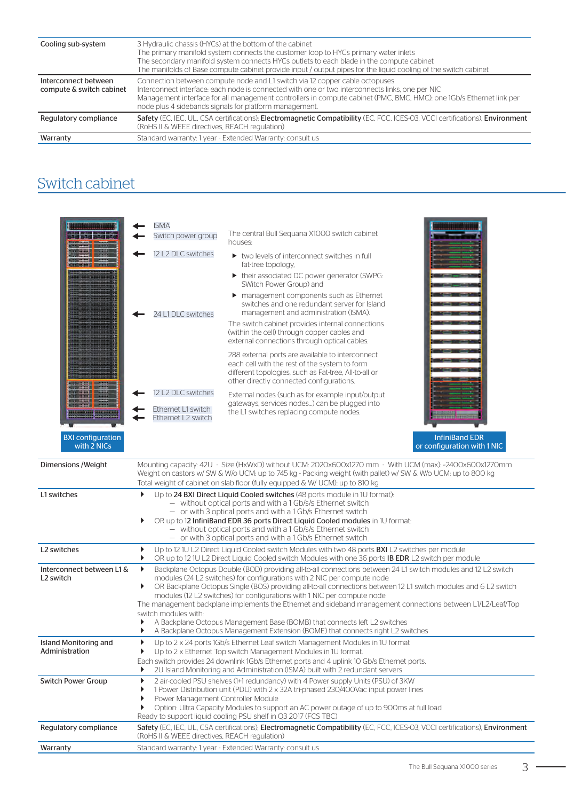| Cooling sub-system                               | 3 Hydraulic chassis (HYCs) at the bottom of the cabinet<br>The primary manifold system connects the customer loop to HYCs primary water inlets<br>The secondary manifold system connects HYCs outlets to each blade in the compute cabinet<br>The manifolds of Base compute cabinet provide input / output pipes for the liquid cooling of the switch cabinet   |
|--------------------------------------------------|-----------------------------------------------------------------------------------------------------------------------------------------------------------------------------------------------------------------------------------------------------------------------------------------------------------------------------------------------------------------|
| Interconnect between<br>compute & switch cabinet | Connection between compute node and L1 switch via 12 copper cable octopuses<br>Interconnect interface: each node is connected with one or two interconnects links, one per NIC<br>Management interface for all management controllers in compute cabinet (PMC, BMC, HMC): one 1Gb/s Ethernet link per<br>node plus 4 sidebands signals for platform management. |
| Regulatory compliance                            | Safety (EC, IEC, UL, CSA certifications); Electromagnetic Compatibility (EC, FCC, ICES-03, VCCI certifications), Environment<br>(RoHS II & WEEE directives, REACH regulation)                                                                                                                                                                                   |
| Warranty                                         | Standard warranty: 1 year - Extended Warranty: consult us                                                                                                                                                                                                                                                                                                       |

## Switch cabinet